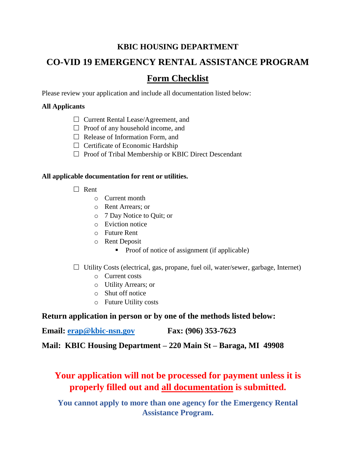## **KBIC HOUSING DEPARTMENT**

# **CO-VID 19 EMERGENCY RENTAL ASSISTANCE PROGRAM**

# **Form Checklist**

Please review your application and include all documentation listed below:

#### **All Applicants**

- □ Current Rental Lease/Agreement, and
- $\Box$  Proof of any household income, and
- $\Box$  Release of Information Form, and
- $\Box$  Certificate of Economic Hardship
- $\Box$  Proof of Tribal Membership or KBIC Direct Descendant

#### **All applicable documentation for rent or utilities.**

- $\Box$  Rent
	- o Current month
	- o Rent Arrears; or
	- o 7 Day Notice to Quit; or
	- o Eviction notice
	- o Future Rent
	- o Rent Deposit
		- Proof of notice of assignment (if applicable)

#### $\Box$  Utility Costs (electrical, gas, propane, fuel oil, water/sewer, garbage, Internet)

- o Current costs
- o Utility Arrears; or
- o Shut off notice
- o Future Utility costs

### **Return application in person or by one of the methods listed below:**

**Email: [erap@kbic-nsn.gov](mailto:erap@kbic-nsn.gov) Fax: (906) 353-7623** 

**Mail: KBIC Housing Department – 220 Main St – Baraga, MI 49908** 

# **Your application will not be processed for payment unless it is properly filled out and all documentation is submitted.**

**You cannot apply to more than one agency for the Emergency Rental Assistance Program.**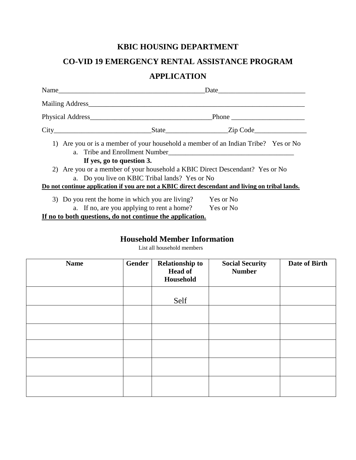# **KBIC HOUSING DEPARTMENT**

# **CO-VID 19 EMERGENCY RENTAL ASSISTANCE PROGRAM**

## **APPLICATION**

| Name                                                                                                                                                                                                                                                                                                                                                                                                                                                                                                                                                                                           | Date      |  |  |
|------------------------------------------------------------------------------------------------------------------------------------------------------------------------------------------------------------------------------------------------------------------------------------------------------------------------------------------------------------------------------------------------------------------------------------------------------------------------------------------------------------------------------------------------------------------------------------------------|-----------|--|--|
|                                                                                                                                                                                                                                                                                                                                                                                                                                                                                                                                                                                                |           |  |  |
|                                                                                                                                                                                                                                                                                                                                                                                                                                                                                                                                                                                                |           |  |  |
|                                                                                                                                                                                                                                                                                                                                                                                                                                                                                                                                                                                                |           |  |  |
| 1) Are you or is a member of your household a member of an Indian Tribe? Yes or No<br>a. Tribe and Enrollment Number<br><u>Leadenborne and the set of the set of the set of the set of the set of the set of the set of the set of the set of the set of the set of the set of the set of the set of the set of the set </u><br>If yes, go to question 3.<br>2) Are you or a member of your household a KBIC Direct Descendant? Yes or No<br>a. Do you live on KBIC Tribal lands? Yes or No<br>Do not continue application if you are not a KBIC direct descendant and living on tribal lands. |           |  |  |
|                                                                                                                                                                                                                                                                                                                                                                                                                                                                                                                                                                                                |           |  |  |
| 3) Do you rent the home in which you are living?                                                                                                                                                                                                                                                                                                                                                                                                                                                                                                                                               | Yes or No |  |  |
| a. If no, are you applying to rent a home? Yes or No                                                                                                                                                                                                                                                                                                                                                                                                                                                                                                                                           |           |  |  |

**If no to both questions, do not continue the application.**

# **Household Member Information**

List all household members

| <b>Name</b> | Gender | <b>Relationship to</b><br><b>Head of</b><br>Household | <b>Social Security</b><br><b>Number</b> | Date of Birth |
|-------------|--------|-------------------------------------------------------|-----------------------------------------|---------------|
|             |        | Self                                                  |                                         |               |
|             |        |                                                       |                                         |               |
|             |        |                                                       |                                         |               |
|             |        |                                                       |                                         |               |
|             |        |                                                       |                                         |               |
|             |        |                                                       |                                         |               |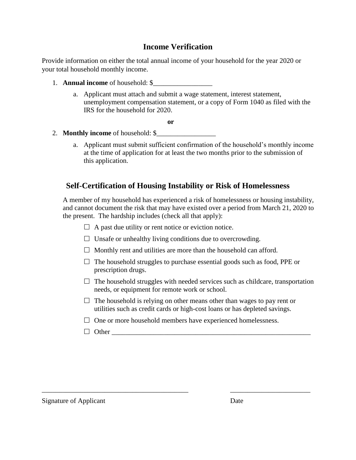### **Income Verification**

Provide information on either the total annual income of your household for the year 2020 or your total household monthly income.

- 1. **Annual income** of household: \$\_\_\_\_\_\_\_\_\_\_\_\_\_\_\_\_\_
	- a. Applicant must attach and submit a wage statement, interest statement, unemployment compensation statement, or a copy of Form 1040 as filed with the IRS for the household for 2020.

**or**

- 2. **Monthly income** of household: \$
	- a. Applicant must submit sufficient confirmation of the household's monthly income at the time of application for at least the two months prior to the submission of this application.

### **Self-Certification of Housing Instability or Risk of Homelessness**

A member of my household has experienced a risk of homelessness or housing instability, and cannot document the risk that may have existed over a period from March 21, 2020 to the present. The hardship includes (check all that apply):

- $\Box$  A past due utility or rent notice or eviction notice.
- $\Box$  Unsafe or unhealthy living conditions due to overcrowding.
- $\Box$  Monthly rent and utilities are more than the household can afford.
- $\Box$  The household struggles to purchase essential goods such as food, PPE or prescription drugs.
- $\Box$  The household struggles with needed services such as childcare, transportation needs, or equipment for remote work or school.
- $\Box$  The household is relying on other means other than wages to pay rent or utilities such as credit cards or high-cost loans or has depleted savings.
- $\Box$  One or more household members have experienced homelessness.

\_\_\_\_\_\_\_\_\_\_\_\_\_\_\_\_\_\_\_\_\_\_\_\_\_\_\_\_\_\_\_\_\_\_\_\_\_\_\_\_\_\_ \_\_\_\_\_\_\_\_\_\_\_\_\_\_\_\_\_\_\_\_\_\_\_

Other \_\_\_\_\_\_\_\_\_\_\_\_\_\_\_\_\_\_\_\_\_\_\_\_\_\_\_\_\_\_\_\_\_\_\_\_\_\_\_\_\_\_\_\_\_\_\_\_\_\_\_\_\_\_\_\_\_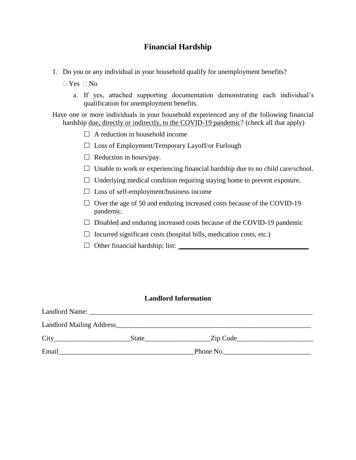## **Financial Hardship**

- 1. Do you or any individual in your household qualify for unemployment benefits?
	- $\Box$  Yes  $\Box$  No
		- a. If yes, attached supporting documentation demonstrating each individual's qualification for unemployment benefits.

Have one or more individuals in your household experienced any of the following financial hardship <u>due, directly or indirectly, to the COVID-19 pandemic</u>? (check all that apply)

- $\Box$  A reduction in household income
- $\square$  Loss of Employment/Temporary Layoff/or Furlough
- $\Box$  Reduction in hours/pay.
- $\Box$  Unable to work or experiencing financial hardship due to no child care/school.
- $\Box$  Underlying medical condition requiring staying home to prevent exposure.
- $\square$  Loss of self-employment/business income
- $\Box$  Over the age of 50 and enduring increased costs because of the COVID-19 pandemic.
- $\Box$  Disabled and enduring increased costs because of the COVID-19 pandemic
- $\Box$  Incurred significant costs (hospital bills, medication costs, etc.)
- $\Box$  Other financial hardship; list:  $\Box$

#### **Landlord Information**

| Landlord Name: |       |           |
|----------------|-------|-----------|
|                |       |           |
| City           | State | Zip Code  |
| Email          |       | Phone No. |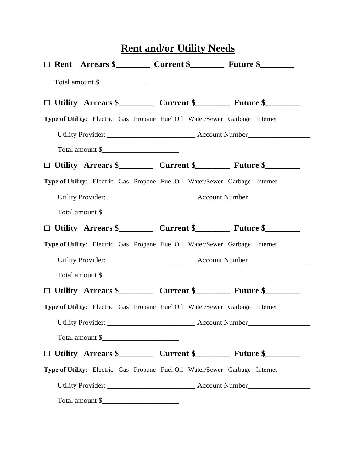| <b>Rent and/or Utility Needs</b> |  |                                                                                       |  |  |  |  |  |
|----------------------------------|--|---------------------------------------------------------------------------------------|--|--|--|--|--|
|                                  |  |                                                                                       |  |  |  |  |  |
|                                  |  | Total amount \$                                                                       |  |  |  |  |  |
|                                  |  | $\Box$ Utility Arrears \$___________ Current \$_____________ Future \$__________      |  |  |  |  |  |
|                                  |  | Type of Utility: Electric Gas Propane Fuel Oil Water/Sewer Garbage Internet           |  |  |  |  |  |
|                                  |  |                                                                                       |  |  |  |  |  |
|                                  |  | Total amount \$                                                                       |  |  |  |  |  |
|                                  |  | $\Box$ Utility Arrears \$____________ Current \$_____________ Future \$______________ |  |  |  |  |  |
|                                  |  | Type of Utility: Electric Gas Propane Fuel Oil Water/Sewer Garbage Internet           |  |  |  |  |  |
|                                  |  |                                                                                       |  |  |  |  |  |
|                                  |  | Total amount \$                                                                       |  |  |  |  |  |
|                                  |  |                                                                                       |  |  |  |  |  |
|                                  |  | Type of Utility: Electric Gas Propane Fuel Oil Water/Sewer Garbage Internet           |  |  |  |  |  |
|                                  |  |                                                                                       |  |  |  |  |  |
|                                  |  | Total amount \$                                                                       |  |  |  |  |  |
|                                  |  |                                                                                       |  |  |  |  |  |
|                                  |  | Type of Utility: Electric Gas Propane Fuel Oil Water/Sewer Garbage Internet           |  |  |  |  |  |
|                                  |  |                                                                                       |  |  |  |  |  |
|                                  |  | Total amount \$                                                                       |  |  |  |  |  |
|                                  |  | $\Box$ Utility Arrears \$____________ Current \$_____________ Future \$______________ |  |  |  |  |  |
|                                  |  | Type of Utility: Electric Gas Propane Fuel Oil Water/Sewer Garbage Internet           |  |  |  |  |  |
|                                  |  |                                                                                       |  |  |  |  |  |
|                                  |  |                                                                                       |  |  |  |  |  |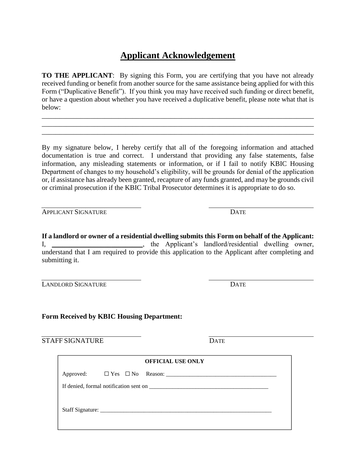# **Applicant Acknowledgement**

**TO THE APPLICANT:** By signing this Form, you are certifying that you have not already received funding or benefit from another source for the same assistance being applied for with this Form ("Duplicative Benefit"). If you think you may have received such funding or direct benefit, or have a question about whether you have received a duplicative benefit, please note what that is below:

\_\_\_\_\_\_\_\_\_\_\_\_\_\_\_\_\_\_\_\_\_\_\_\_\_\_\_\_\_\_\_\_\_\_\_\_\_\_\_\_\_\_\_\_\_\_\_\_\_\_\_\_\_\_\_\_\_\_\_\_\_\_\_\_\_\_\_\_\_\_\_\_\_\_\_\_\_\_ \_\_\_\_\_\_\_\_\_\_\_\_\_\_\_\_\_\_\_\_\_\_\_\_\_\_\_\_\_\_\_\_\_\_\_\_\_\_\_\_\_\_\_\_\_\_\_\_\_\_\_\_\_\_\_\_\_\_\_\_\_\_\_\_\_\_\_\_\_\_\_\_\_\_\_\_\_\_ \_\_\_\_\_\_\_\_\_\_\_\_\_\_\_\_\_\_\_\_\_\_\_\_\_\_\_\_\_\_\_\_\_\_\_\_\_\_\_\_\_\_\_\_\_\_\_\_\_\_\_\_\_\_\_\_\_\_\_\_\_\_\_\_\_\_\_\_\_\_\_\_\_\_\_\_\_\_

By my signature below, I hereby certify that all of the foregoing information and attached documentation is true and correct. I understand that providing any false statements, false information, any misleading statements or information, or if I fail to notify KBIC Housing Department of changes to my household's eligibility, will be grounds for denial of the application or, if assistance has already been granted, recapture of any funds granted, and may be grounds civil or criminal prosecution if the KBIC Tribal Prosecutor determines it is appropriate to do so.

APPLICANT SIGNATURE DATE

**If a landlord or owner of a residential dwelling submits this Form on behalf of the Applicant:** I, \_\_\_\_\_\_\_\_\_\_\_\_\_\_\_\_\_\_\_\_\_\_\_\_\_\_, the Applicant's landlord/residential dwelling owner, understand that I am required to provide this application to the Applicant after completing and submitting it.

LANDLORD SIGNATURE DATE

#### **Form Received by KBIC Housing Department:**

STAFF SIGNATURE DATE

| <b>OFFICIAL USE ONLY</b> |  |  |  |  |  |
|--------------------------|--|--|--|--|--|
|                          |  |  |  |  |  |
|                          |  |  |  |  |  |
|                          |  |  |  |  |  |
|                          |  |  |  |  |  |
|                          |  |  |  |  |  |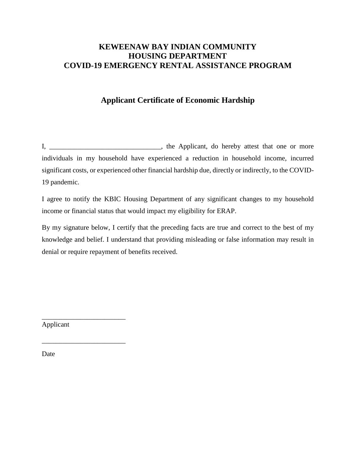### **KEWEENAW BAY INDIAN COMMUNITY HOUSING DEPARTMENT COVID-19 EMERGENCY RENTAL ASSISTANCE PROGRAM**

## **Applicant Certificate of Economic Hardship**

I, \_\_\_\_\_\_\_\_\_\_\_\_\_\_\_\_\_\_\_\_\_\_\_\_, the Applicant, do hereby attest that one or more individuals in my household have experienced a reduction in household income, incurred significant costs, or experienced other financial hardship due, directly or indirectly, to the COVID-19 pandemic.

I agree to notify the KBIC Housing Department of any significant changes to my household income or financial status that would impact my eligibility for ERAP.

By my signature below, I certify that the preceding facts are true and correct to the best of my knowledge and belief. I understand that providing misleading or false information may result in denial or require repayment of benefits received.

Applicant

\_\_\_\_\_\_\_\_\_\_\_\_\_\_\_\_\_\_\_\_\_\_\_\_

\_\_\_\_\_\_\_\_\_\_\_\_\_\_\_\_\_\_\_\_\_\_\_\_

Date